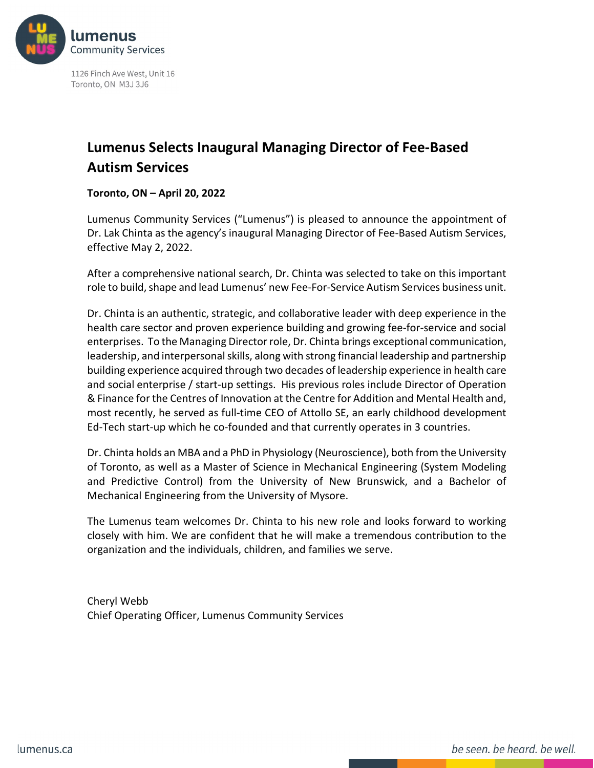

1126 Finch Ave West, Unit 16 Toronto, ON M3J 3J6

## **Lumenus Selects Inaugural Managing Director of Fee-Based Autism Services**

**Toronto, ON – April 20, 2022**

Lumenus Community Services ("Lumenus") is pleased to announce the appointment of Dr. Lak Chinta as the agency's inaugural Managing Director of Fee-Based Autism Services, effective May 2, 2022.

After a comprehensive national search, Dr. Chinta was selected to take on this important role to build, shape and lead Lumenus' new Fee-For-Service Autism Services business unit.

Dr. Chinta is an authentic, strategic, and collaborative leader with deep experience in the health care sector and proven experience building and growing fee-for-service and social enterprises. To the Managing Director role, Dr. Chinta brings exceptional communication, leadership, and interpersonal skills, along with strong financial leadership and partnership building experience acquired through two decades of leadership experience in health care and social enterprise / start-up settings. His previous roles include Director of Operation & Finance for the Centres of Innovation at the Centre for Addition and Mental Health and, most recently, he served as full-time CEO of Attollo SE, an early childhood development Ed-Tech start-up which he co-founded and that currently operates in 3 countries.

Dr. Chinta holds an MBA and a PhD in Physiology (Neuroscience), both from the University of Toronto, as well as a Master of Science in Mechanical Engineering (System Modeling and Predictive Control) from the University of New Brunswick, and a Bachelor of Mechanical Engineering from the University of Mysore.

The Lumenus team welcomes Dr. Chinta to his new role and looks forward to working closely with him. We are confident that he will make a tremendous contribution to the organization and the individuals, children, and families we serve.

Cheryl Webb Chief Operating Officer, Lumenus Community Services